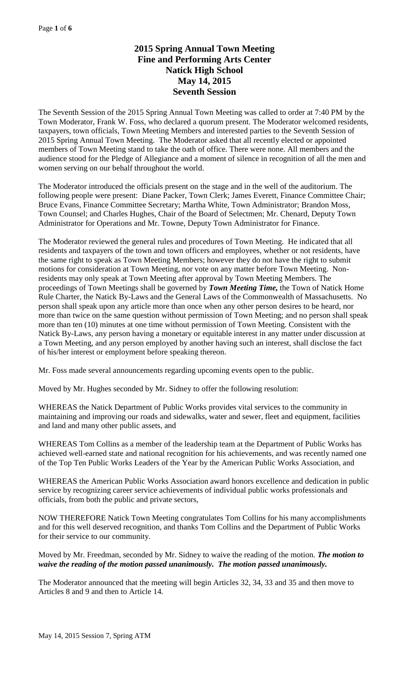# **2015 Spring Annual Town Meeting Fine and Performing Arts Center Natick High School May 14, 2015 Seventh Session**

The Seventh Session of the 2015 Spring Annual Town Meeting was called to order at 7:40 PM by the Town Moderator, Frank W. Foss, who declared a quorum present. The Moderator welcomed residents, taxpayers, town officials, Town Meeting Members and interested parties to the Seventh Session of 2015 Spring Annual Town Meeting. The Moderator asked that all recently elected or appointed members of Town Meeting stand to take the oath of office. There were none. All members and the audience stood for the Pledge of Allegiance and a moment of silence in recognition of all the men and women serving on our behalf throughout the world.

The Moderator introduced the officials present on the stage and in the well of the auditorium. The following people were present: Diane Packer, Town Clerk; James Everett, Finance Committee Chair; Bruce Evans, Finance Committee Secretary; Martha White, Town Administrator; Brandon Moss, Town Counsel; and Charles Hughes, Chair of the Board of Selectmen; Mr. Chenard, Deputy Town Administrator for Operations and Mr. Towne, Deputy Town Administrator for Finance.

The Moderator reviewed the general rules and procedures of Town Meeting. He indicated that all residents and taxpayers of the town and town officers and employees, whether or not residents, have the same right to speak as Town Meeting Members; however they do not have the right to submit motions for consideration at Town Meeting, nor vote on any matter before Town Meeting. Nonresidents may only speak at Town Meeting after approval by Town Meeting Members. The proceedings of Town Meetings shall be governed by *Town Meeting Time,* the Town of Natick Home Rule Charter, the Natick By-Laws and the General Laws of the Commonwealth of Massachusetts. No person shall speak upon any article more than once when any other person desires to be heard, nor more than twice on the same question without permission of Town Meeting; and no person shall speak more than ten (10) minutes at one time without permission of Town Meeting. Consistent with the Natick By-Laws, any person having a monetary or equitable interest in any matter under discussion at a Town Meeting, and any person employed by another having such an interest, shall disclose the fact of his/her interest or employment before speaking thereon.

Mr. Foss made several announcements regarding upcoming events open to the public.

Moved by Mr. Hughes seconded by Mr. Sidney to offer the following resolution:

WHEREAS the Natick Department of Public Works provides vital services to the community in maintaining and improving our roads and sidewalks, water and sewer, fleet and equipment, facilities and land and many other public assets, and

WHEREAS Tom Collins as a member of the leadership team at the Department of Public Works has achieved well-earned state and national recognition for his achievements, and was recently named one of the Top Ten Public Works Leaders of the Year by the American Public Works Association, and

WHEREAS the American Public Works Association award honors excellence and dedication in public service by recognizing career service achievements of individual public works professionals and officials, from both the public and private sectors,

NOW THEREFORE Natick Town Meeting congratulates Tom Collins for his many accomplishments and for this well deserved recognition, and thanks Tom Collins and the Department of Public Works for their service to our community.

Moved by Mr. Freedman, seconded by Mr. Sidney to waive the reading of the motion. *The motion to waive the reading of the motion passed unanimously. The motion passed unanimously.*

The Moderator announced that the meeting will begin Articles 32, 34, 33 and 35 and then move to Articles 8 and 9 and then to Article 14.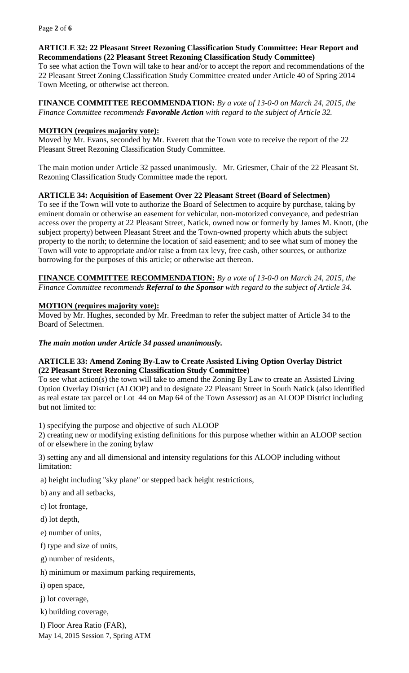### **ARTICLE 32: 22 Pleasant Street Rezoning Classification Study Committee: Hear Report and Recommendations (22 Pleasant Street Rezoning Classification Study Committee)**

To see what action the Town will take to hear and/or to accept the report and recommendations of the 22 Pleasant Street Zoning Classification Study Committee created under Article 40 of Spring 2014 Town Meeting, or otherwise act thereon.

#### **FINANCE COMMITTEE RECOMMENDATION:** *By a vote of 13-0-0 on March 24, 2015, the Finance Committee recommends Favorable Action with regard to the subject of Article 32.*

### **MOTION (requires majority vote):**

Moved by Mr. Evans, seconded by Mr. Everett that the Town vote to receive the report of the 22 Pleasant Street Rezoning Classification Study Committee.

The main motion under Article 32 passed unanimously. Mr. Griesmer, Chair of the 22 Pleasant St. Rezoning Classification Study Committee made the report.

#### **ARTICLE 34: Acquisition of Easement Over 22 Pleasant Street (Board of Selectmen)**

To see if the Town will vote to authorize the Board of Selectmen to acquire by purchase, taking by eminent domain or otherwise an easement for vehicular, non-motorized conveyance, and pedestrian access over the property at 22 Pleasant Street, Natick, owned now or formerly by James M. Knott, (the subject property) between Pleasant Street and the Town-owned property which abuts the subject property to the north; to determine the location of said easement; and to see what sum of money the Town will vote to appropriate and/or raise a from tax levy, free cash, other sources, or authorize borrowing for the purposes of this article; or otherwise act thereon.

**FINANCE COMMITTEE RECOMMENDATION:** *By a vote of 13-0-0 on March 24, 2015, the Finance Committee recommends Referral to the Sponsor with regard to the subject of Article 34.*

#### **MOTION (requires majority vote):**

Moved by Mr. Hughes, seconded by Mr. Freedman to refer the subject matter of Article 34 to the Board of Selectmen.

#### *The main motion under Article 34 passed unanimously.*

#### **ARTICLE 33: Amend Zoning By-Law to Create Assisted Living Option Overlay District (22 Pleasant Street Rezoning Classification Study Committee)**

To see what action(s) the town will take to amend the Zoning By Law to create an Assisted Living Option Overlay District (ALOOP) and to designate 22 Pleasant Street in South Natick (also identified as real estate tax parcel or Lot 44 on Map 64 of the Town Assessor) as an ALOOP District including but not limited to:

1) specifying the purpose and objective of such ALOOP

2) creating new or modifying existing definitions for this purpose whether within an ALOOP section of or elsewhere in the zoning bylaw

3) setting any and all dimensional and intensity regulations for this ALOOP including without limitation:

a) height including "sky plane" or stepped back height restrictions,

b) any and all setbacks,

c) lot frontage,

d) lot depth,

e) number of units,

f) type and size of units,

g) number of residents,

h) minimum or maximum parking requirements,

i) open space,

j) lot coverage,

k) building coverage,

May 14, 2015 Session 7, Spring ATM l) Floor Area Ratio (FAR),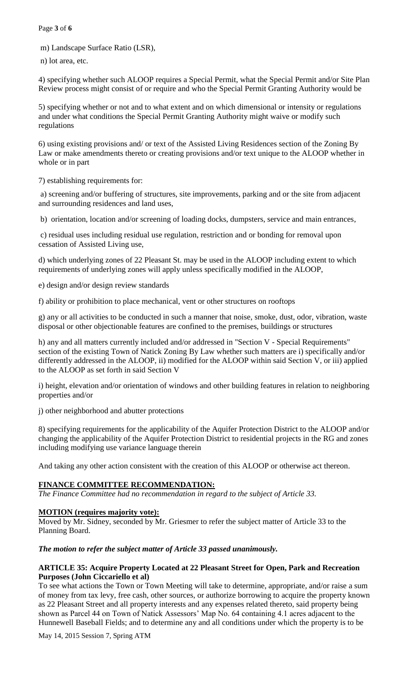Page **3** of **6**

m) Landscape Surface Ratio (LSR),

n) lot area, etc.

4) specifying whether such ALOOP requires a Special Permit, what the Special Permit and/or Site Plan Review process might consist of or require and who the Special Permit Granting Authority would be

5) specifying whether or not and to what extent and on which dimensional or intensity or regulations and under what conditions the Special Permit Granting Authority might waive or modify such regulations

6) using existing provisions and/ or text of the Assisted Living Residences section of the Zoning By Law or make amendments thereto or creating provisions and/or text unique to the ALOOP whether in whole or in part

7) establishing requirements for:

a) screening and/or buffering of structures, site improvements, parking and or the site from adjacent and surrounding residences and land uses,

b) orientation, location and/or screening of loading docks, dumpsters, service and main entrances,

c) residual uses including residual use regulation, restriction and or bonding for removal upon cessation of Assisted Living use,

d) which underlying zones of 22 Pleasant St. may be used in the ALOOP including extent to which requirements of underlying zones will apply unless specifically modified in the ALOOP,

e) design and/or design review standards

f) ability or prohibition to place mechanical, vent or other structures on rooftops

g) any or all activities to be conducted in such a manner that noise, smoke, dust, odor, vibration, waste disposal or other objectionable features are confined to the premises, buildings or structures

h) any and all matters currently included and/or addressed in "Section V - Special Requirements" section of the existing Town of Natick Zoning By Law whether such matters are i) specifically and/or differently addressed in the ALOOP, ii) modified for the ALOOP within said Section V, or iii) applied to the ALOOP as set forth in said Section V

i) height, elevation and/or orientation of windows and other building features in relation to neighboring properties and/or

j) other neighborhood and abutter protections

8) specifying requirements for the applicability of the Aquifer Protection District to the ALOOP and/or changing the applicability of the Aquifer Protection District to residential projects in the RG and zones including modifying use variance language therein

And taking any other action consistent with the creation of this ALOOP or otherwise act thereon.

# **FINANCE COMMITTEE RECOMMENDATION:**

*The Finance Committee had no recommendation in regard to the subject of Article 33.*

# **MOTION (requires majority vote):**

Moved by Mr. Sidney, seconded by Mr. Griesmer to refer the subject matter of Article 33 to the Planning Board.

# *The motion to refer the subject matter of Article 33 passed unanimously.*

#### **ARTICLE 35: Acquire Property Located at 22 Pleasant Street for Open, Park and Recreation Purposes (John Ciccariello et al)**

To see what actions the Town or Town Meeting will take to determine, appropriate, and/or raise a sum of money from tax levy, free cash, other sources, or authorize borrowing to acquire the property known as 22 Pleasant Street and all property interests and any expenses related thereto, said property being shown as Parcel 44 on Town of Natick Assessors' Map No. 64 containing 4.1 acres adjacent to the Hunnewell Baseball Fields; and to determine any and all conditions under which the property is to be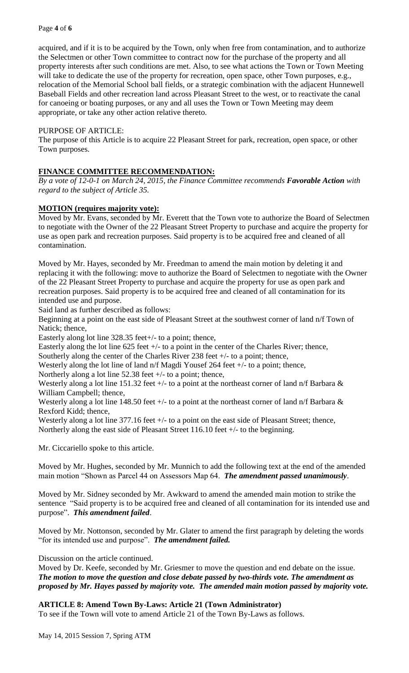acquired, and if it is to be acquired by the Town, only when free from contamination, and to authorize the Selectmen or other Town committee to contract now for the purchase of the property and all property interests after such conditions are met. Also, to see what actions the Town or Town Meeting will take to dedicate the use of the property for recreation, open space, other Town purposes, e.g., relocation of the Memorial School ball fields, or a strategic combination with the adjacent Hunnewell Baseball Fields and other recreation land across Pleasant Street to the west, or to reactivate the canal for canoeing or boating purposes, or any and all uses the Town or Town Meeting may deem appropriate, or take any other action relative thereto.

### PURPOSE OF ARTICLE:

The purpose of this Article is to acquire 22 Pleasant Street for park, recreation, open space, or other Town purposes.

## **FINANCE COMMITTEE RECOMMENDATION:**

*By a vote of 12-0-1 on March 24, 2015, the Finance Committee recommends Favorable Action with regard to the subject of Article 35.*

#### **MOTION (requires majority vote):**

Moved by Mr. Evans, seconded by Mr. Everett that the Town vote to authorize the Board of Selectmen to negotiate with the Owner of the 22 Pleasant Street Property to purchase and acquire the property for use as open park and recreation purposes. Said property is to be acquired free and cleaned of all contamination.

Moved by Mr. Hayes, seconded by Mr. Freedman to amend the main motion by deleting it and replacing it with the following: move to authorize the Board of Selectmen to negotiate with the Owner of the 22 Pleasant Street Property to purchase and acquire the property for use as open park and recreation purposes. Said property is to be acquired free and cleaned of all contamination for its intended use and purpose.

Said land as further described as follows:

Beginning at a point on the east side of Pleasant Street at the southwest corner of land n/f Town of Natick; thence,

Easterly along lot line 328.35 feet+/- to a point; thence,

Easterly along the lot line 625 feet +/- to a point in the center of the Charles River; thence,

Southerly along the center of the Charles River 238 feet +/- to a point; thence,

Westerly along the lot line of land n/f Magdi Yousef 264 feet +/- to a point; thence,

Northerly along a lot line 52.38 feet  $+/-$  to a point; thence,

Westerly along a lot line 151.32 feet  $+\prime$ - to a point at the northeast corner of land n/f Barbara  $\&$ William Campbell; thence,

Westerly along a lot line 148.50 feet  $+\prime$ - to a point at the northeast corner of land n/f Barbara  $\&$ Rexford Kidd; thence,

Westerly along a lot line 377.16 feet  $+/-$  to a point on the east side of Pleasant Street; thence, Northerly along the east side of Pleasant Street 116.10 feet +/- to the beginning.

Mr. Ciccariello spoke to this article.

Moved by Mr. Hughes, seconded by Mr. Munnich to add the following text at the end of the amended main motion "Shown as Parcel 44 on Assessors Map 64. *The amendment passed unanimously*.

Moved by Mr. Sidney seconded by Mr. Awkward to amend the amended main motion to strike the sentence "Said property is to be acquired free and cleaned of all contamination for its intended use and purpose". *This amendment failed*.

Moved by Mr. Nottonson, seconded by Mr. Glater to amend the first paragraph by deleting the words "for its intended use and purpose". *The amendment failed.*

Discussion on the article continued.

Moved by Dr. Keefe, seconded by Mr. Griesmer to move the question and end debate on the issue. *The motion to move the question and close debate passed by two-thirds vote. The amendment as proposed by Mr. Hayes passed by majority vote. The amended main motion passed by majority vote.*

**ARTICLE 8: Amend Town By-Laws: Article 21 (Town Administrator)**

To see if the Town will vote to amend Article 21 of the Town By-Laws as follows.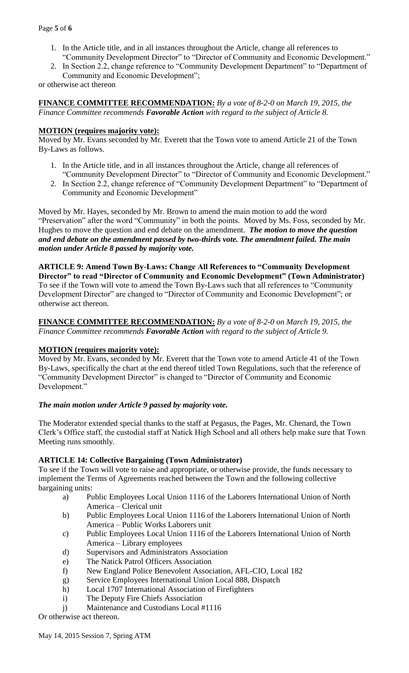- 1. In the Article title, and in all instances throughout the Article, change all references to "Community Development Director" to "Director of Community and Economic Development."
- 2. In Section 2.2, change reference to "Community Development Department" to "Department of Community and Economic Development";

or otherwise act thereon

**FINANCE COMMITTEE RECOMMENDATION:** *By a vote of 8-2-0 on March 19, 2015, the Finance Committee recommends Favorable Action with regard to the subject of Article 8.*

## **MOTION (requires majority vote):**

Moved by Mr. Evans seconded by Mr. Everett that the Town vote to amend Article 21 of the Town By-Laws as follows.

- 1. In the Article title, and in all instances throughout the Article, change all references of "Community Development Director" to "Director of Community and Economic Development."
- 2. In Section 2.2, change reference of "Community Development Department" to "Department of Community and Economic Development"

Moved by Mr. Hayes, seconded by Mr. Brown to amend the main motion to add the word "Preservation" after the word "Community" in both the points. Moved by Ms. Foss, seconded by Mr. Hughes to move the question and end debate on the amendment. *The motion to move the question and end debate on the amendment passed by two-thirds vote. The amendment failed. The main motion under Article 8 passed by majority vote.*

**ARTICLE 9: Amend Town By-Laws: Change All References to "Community Development Director" to read "Director of Community and Economic Development" (Town Administrator)** To see if the Town will vote to amend the Town By-Laws such that all references to "Community Development Director" are changed to "Director of Community and Economic Development"; or otherwise act thereon.

**FINANCE COMMITTEE RECOMMENDATION:** *By a vote of 8-2-0 on March 19, 2015, the Finance Committee recommends Favorable Action with regard to the subject of Article 9.*

## **MOTION (requires majority vote):**

Moved by Mr. Evans, seconded by Mr. Everett that the Town vote to amend Article 41 of the Town By-Laws, specifically the chart at the end thereof titled Town Regulations, such that the reference of "Community Development Director" is changed to "Director of Community and Economic Development."

## *The main motion under Article 9 passed by majority vote.*

The Moderator extended special thanks to the staff at Pegasus, the Pages, Mr. Chenard, the Town Clerk's Office staff, the custodial staff at Natick High School and all others help make sure that Town Meeting runs smoothly.

## **ARTICLE 14: Collective Bargaining (Town Administrator)**

To see if the Town will vote to raise and appropriate, or otherwise provide, the funds necessary to implement the Terms of Agreements reached between the Town and the following collective bargaining units:

- a) Public Employees Local Union 1116 of the Laborers International Union of North America – Clerical unit
- b) Public Employees Local Union 1116 of the Laborers International Union of North America – Public Works Laborers unit
- c) Public Employees Local Union 1116 of the Laborers International Union of North America – Library employees
- d) Supervisors and Administrators Association
- e) The Natick Patrol Officers Association
- f) New England Police Benevolent Association, AFL-CIO, Local 182
- g) Service Employees International Union Local 888, Dispatch
- h) Local 1707 International Association of Firefighters
- i) The Deputy Fire Chiefs Association
- j) Maintenance and Custodians Local #1116

Or otherwise act thereon.